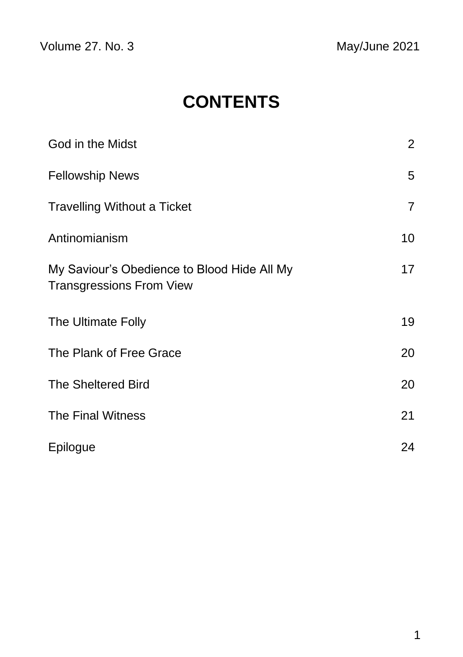Volume 27. No. 3 May/June 2021

# **CONTENTS**

| God in the Midst                                                               | $\overline{2}$ |
|--------------------------------------------------------------------------------|----------------|
| <b>Fellowship News</b>                                                         | 5              |
| <b>Travelling Without a Ticket</b>                                             | $\overline{7}$ |
| Antinomianism                                                                  | 10             |
| My Saviour's Obedience to Blood Hide All My<br><b>Transgressions From View</b> | 17             |
| The Ultimate Folly                                                             | 19             |
| The Plank of Free Grace                                                        | 20             |
| <b>The Sheltered Bird</b>                                                      | 20             |
| The Final Witness                                                              | 21             |
| Epilogue                                                                       | 24             |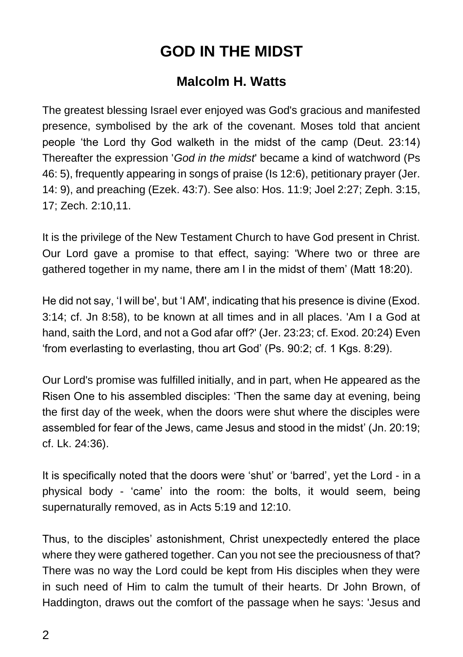## **GOD IN THE MIDST**

### **Malcolm H. Watts**

The greatest blessing Israel ever enjoyed was God's gracious and manifested presence, symbolised by the ark of the covenant. Moses told that ancient people 'the Lord thy God walketh in the midst of the camp (Deut. 23:14) Thereafter the expression '*God in the midst*' became a kind of watchword (Ps 46: 5), frequently appearing in songs of praise (Is 12:6), petitionary prayer (Jer. 14: 9), and preaching (Ezek. 43:7). See also: Hos. 11:9; Joel 2:27; Zeph. 3:15, 17; Zech. 2:10,11.

It is the privilege of the New Testament Church to have God present in Christ. Our Lord gave a promise to that effect, saying: 'Where two or three are gathered together in my name, there am I in the midst of them' (Matt 18:20).

He did not say, 'I will be', but 'I AM', indicating that his presence is divine (Exod. 3:14; cf. Jn 8:58), to be known at all times and in all places. 'Am I a God at hand, saith the Lord, and not a God afar off?' (Jer. 23:23; cf. Exod. 20:24) Even 'from everlasting to everlasting, thou art God' (Ps. 90:2; cf. 1 Kgs. 8:29).

Our Lord's promise was fulfilled initially, and in part, when He appeared as the Risen One to his assembled disciples: 'Then the same day at evening, being the first day of the week, when the doors were shut where the disciples were assembled for fear of the Jews, came Jesus and stood in the midst' (Jn. 20:19; cf. Lk. 24:36).

It is specifically noted that the doors were 'shut' or 'barred', yet the Lord - in a physical body - 'came' into the room: the bolts, it would seem, being supernaturally removed, as in Acts 5:19 and 12:10.

Thus, to the disciples' astonishment, Christ unexpectedly entered the place where they were gathered together. Can you not see the preciousness of that? There was no way the Lord could be kept from His disciples when they were in such need of Him to calm the tumult of their hearts. Dr John Brown, of Haddington, draws out the comfort of the passage when he says: 'Jesus and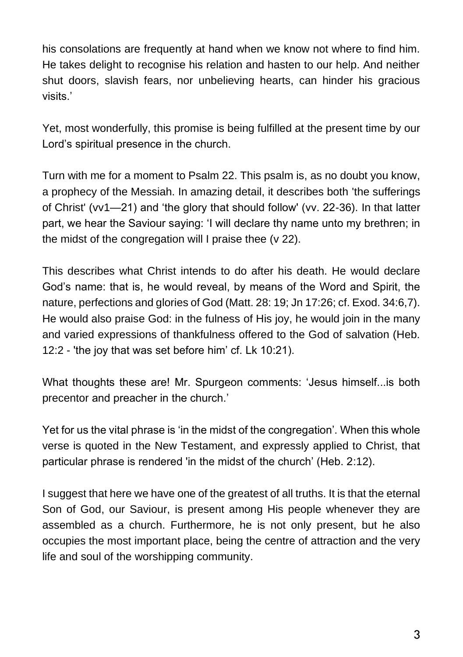his consolations are frequently at hand when we know not where to find him. He takes delight to recognise his relation and hasten to our help. And neither shut doors, slavish fears, nor unbelieving hearts, can hinder his gracious visits.'

Yet, most wonderfully, this promise is being fulfilled at the present time by our Lord's spiritual presence in the church.

Turn with me for a moment to Psalm 22. This psalm is, as no doubt you know, a prophecy of the Messiah. In amazing detail, it describes both 'the sufferings of Christ' (vv1—21) and 'the glory that should follow' (vv. 22-36). In that latter part, we hear the Saviour saying: 'I will declare thy name unto my brethren; in the midst of the congregation will I praise thee (v 22).

This describes what Christ intends to do after his death. He would declare God's name: that is, he would reveal, by means of the Word and Spirit, the nature, perfections and glories of God (Matt. 28: 19; Jn 17:26; cf. Exod. 34:6,7). He would also praise God: in the fulness of His joy, he would join in the many and varied expressions of thankfulness offered to the God of salvation (Heb. 12:2 - 'the joy that was set before him' cf. Lk 10:21).

What thoughts these are! Mr. Spurgeon comments: 'Jesus himself...is both precentor and preacher in the church.'

Yet for us the vital phrase is 'in the midst of the congregation'. When this whole verse is quoted in the New Testament, and expressly applied to Christ, that particular phrase is rendered 'in the midst of the church' (Heb. 2:12).

I suggest that here we have one of the greatest of all truths. It is that the eternal Son of God, our Saviour, is present among His people whenever they are assembled as a church. Furthermore, he is not only present, but he also occupies the most important place, being the centre of attraction and the very life and soul of the worshipping community.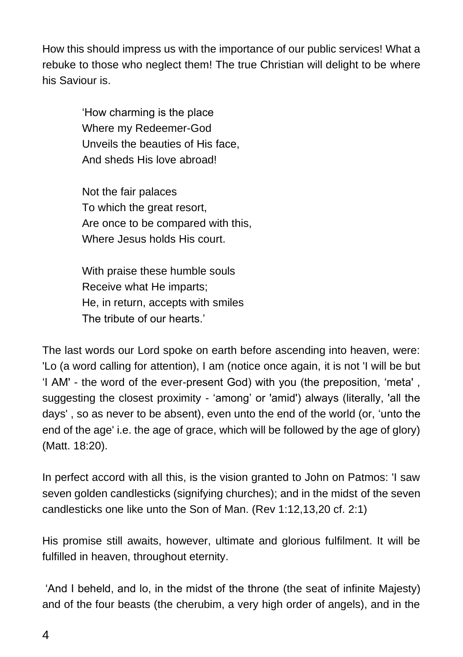How this should impress us with the importance of our public services! What a rebuke to those who neglect them! The true Christian will delight to be where his Saviour is.

> 'How charming is the place Where my Redeemer-God Unveils the beauties of His face, And sheds His love abroad!

Not the fair palaces To which the great resort, Are once to be compared with this, Where Jesus holds His court.

With praise these humble souls Receive what He imparts; He, in return, accepts with smiles The tribute of our hearts.'

The last words our Lord spoke on earth before ascending into heaven, were: 'Lo (a word calling for attention), I am (notice once again, it is not 'I will be but 'I AM' - the word of the ever-present God) with you (the preposition, 'meta' , suggesting the closest proximity - 'among' or 'amid') always (literally, 'all the days' , so as never to be absent), even unto the end of the world (or, 'unto the end of the age' i.e. the age of grace, which will be followed by the age of glory) (Matt. 18:20).

In perfect accord with all this, is the vision granted to John on Patmos: 'I saw seven golden candlesticks (signifying churches); and in the midst of the seven candlesticks one like unto the Son of Man. (Rev 1:12,13,20 cf. 2:1)

His promise still awaits, however, ultimate and glorious fulfilment. It will be fulfilled in heaven, throughout eternity.

'And I beheld, and lo, in the midst of the throne (the seat of infinite Majesty) and of the four beasts (the cherubim, a very high order of angels), and in the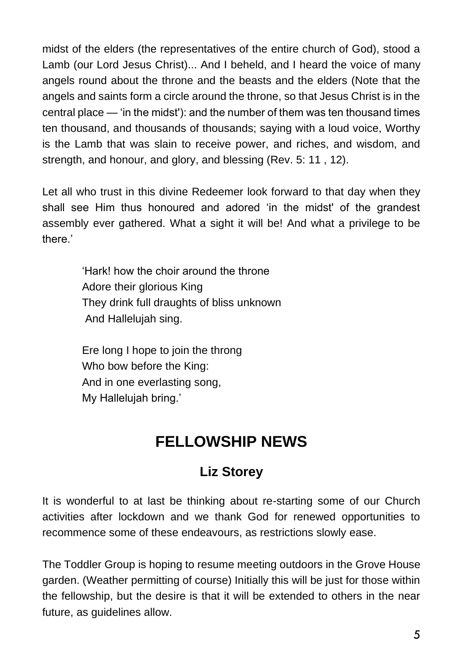midst of the elders (the representatives of the entire church of God), stood a Lamb (our Lord Jesus Christ)... And I beheld, and I heard the voice of many angels round about the throne and the beasts and the elders (Note that the angels and saints form a circle around the throne, so that Jesus Christ is in the central place — 'in the midst'): and the number of them was ten thousand times ten thousand, and thousands of thousands; saying with a loud voice, Worthy is the Lamb that was slain to receive power, and riches, and wisdom, and strength, and honour, and glory, and blessing (Rev. 5: 11 , 12).

Let all who trust in this divine Redeemer look forward to that day when they shall see Him thus honoured and adored 'in the midst' of the grandest assembly ever gathered. What a sight it will be! And what a privilege to be there.'

> 'Hark! how the choir around the throne Adore their glorious King They drink full draughts of bliss unknown And Hallelujah sing.

Ere long I hope to join the throng Who bow before the King: And in one everlasting song, My Hallelujah bring.'

# **FELLOWSHIP NEWS**

### **Liz Storey**

It is wonderful to at last be thinking about re-starting some of our Church activities after lockdown and we thank God for renewed opportunities to recommence some of these endeavours, as restrictions slowly ease.

The Toddler Group is hoping to resume meeting outdoors in the Grove House garden. (Weather permitting of course) Initially this will be just for those within the fellowship, but the desire is that it will be extended to others in the near future, as guidelines allow.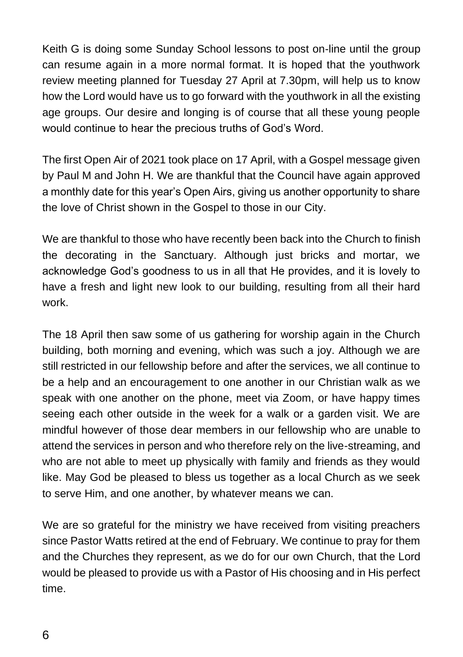Keith G is doing some Sunday School lessons to post on-line until the group can resume again in a more normal format. It is hoped that the youthwork review meeting planned for Tuesday 27 April at 7.30pm, will help us to know how the Lord would have us to go forward with the youthwork in all the existing age groups. Our desire and longing is of course that all these young people would continue to hear the precious truths of God's Word.

The first Open Air of 2021 took place on 17 April, with a Gospel message given by Paul M and John H. We are thankful that the Council have again approved a monthly date for this year's Open Airs, giving us another opportunity to share the love of Christ shown in the Gospel to those in our City.

We are thankful to those who have recently been back into the Church to finish the decorating in the Sanctuary. Although just bricks and mortar, we acknowledge God's goodness to us in all that He provides, and it is lovely to have a fresh and light new look to our building, resulting from all their hard work.

The 18 April then saw some of us gathering for worship again in the Church building, both morning and evening, which was such a joy. Although we are still restricted in our fellowship before and after the services, we all continue to be a help and an encouragement to one another in our Christian walk as we speak with one another on the phone, meet via Zoom, or have happy times seeing each other outside in the week for a walk or a garden visit. We are mindful however of those dear members in our fellowship who are unable to attend the services in person and who therefore rely on the live-streaming, and who are not able to meet up physically with family and friends as they would like. May God be pleased to bless us together as a local Church as we seek to serve Him, and one another, by whatever means we can.

We are so grateful for the ministry we have received from visiting preachers since Pastor Watts retired at the end of February. We continue to pray for them and the Churches they represent, as we do for our own Church, that the Lord would be pleased to provide us with a Pastor of His choosing and in His perfect time.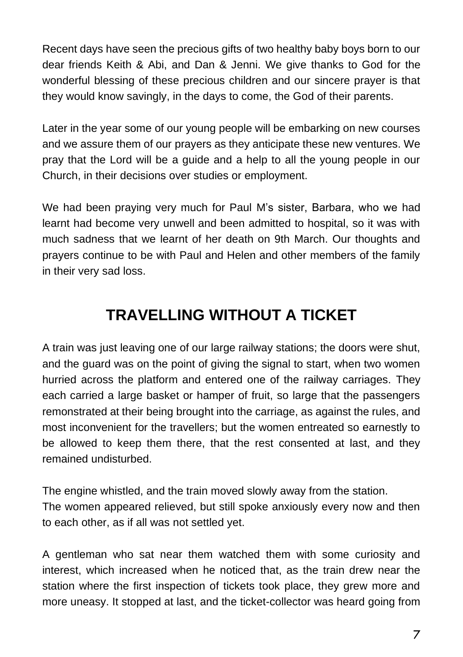Recent days have seen the precious gifts of two healthy baby boys born to our dear friends Keith & Abi, and Dan & Jenni. We give thanks to God for the wonderful blessing of these precious children and our sincere prayer is that they would know savingly, in the days to come, the God of their parents.

Later in the year some of our young people will be embarking on new courses and we assure them of our prayers as they anticipate these new ventures. We pray that the Lord will be a guide and a help to all the young people in our Church, in their decisions over studies or employment.

We had been praying very much for Paul M's sister, Barbara, who we had learnt had become very unwell and been admitted to hospital, so it was with much sadness that we learnt of her death on 9th March. Our thoughts and prayers continue to be with Paul and Helen and other members of the family in their very sad loss.

### **TRAVELLING WITHOUT A TICKET**

A train was just leaving one of our large railway stations; the doors were shut, and the guard was on the point of giving the signal to start, when two women hurried across the platform and entered one of the railway carriages. They each carried a large basket or hamper of fruit, so large that the passengers remonstrated at their being brought into the carriage, as against the rules, and most inconvenient for the travellers; but the women entreated so earnestly to be allowed to keep them there, that the rest consented at last, and they remained undisturbed.

The engine whistled, and the train moved slowly away from the station. The women appeared relieved, but still spoke anxiously every now and then to each other, as if all was not settled yet.

A gentleman who sat near them watched them with some curiosity and interest, which increased when he noticed that, as the train drew near the station where the first inspection of tickets took place, they grew more and more uneasy. It stopped at last, and the ticket-collector was heard going from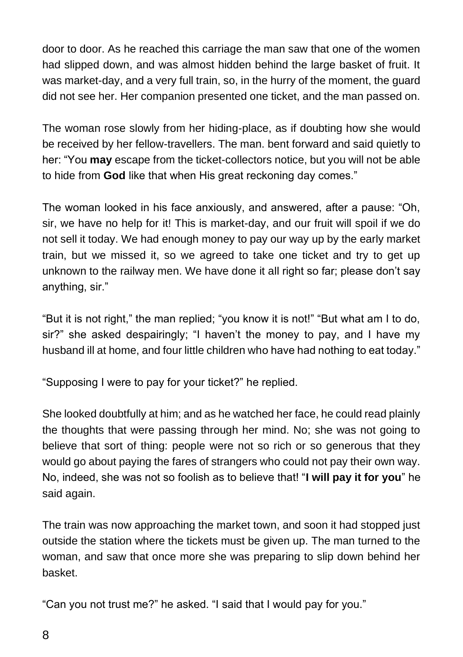door to door. As he reached this carriage the man saw that one of the women had slipped down, and was almost hidden behind the large basket of fruit. It was market-day, and a very full train, so, in the hurry of the moment, the guard did not see her. Her companion presented one ticket, and the man passed on.

The woman rose slowly from her hiding-place, as if doubting how she would be received by her fellow-travellers. The man. bent forward and said quietly to her: "You **may** escape from the ticket-collectors notice, but you will not be able to hide from **God** like that when His great reckoning day comes."

The woman looked in his face anxiously, and answered, after a pause: "Oh, sir, we have no help for it! This is market-day, and our fruit will spoil if we do not sell it today. We had enough money to pay our way up by the early market train, but we missed it, so we agreed to take one ticket and try to get up unknown to the railway men. We have done it all right so far; please don't say anything, sir."

"But it is not right," the man replied; "you know it is not!" "But what am I to do, sir?" she asked despairingly; "I haven't the money to pay, and I have my husband ill at home, and four little children who have had nothing to eat today."

"Supposing I were to pay for your ticket?" he replied.

She looked doubtfully at him; and as he watched her face, he could read plainly the thoughts that were passing through her mind. No; she was not going to believe that sort of thing: people were not so rich or so generous that they would go about paying the fares of strangers who could not pay their own way. No, indeed, she was not so foolish as to believe that! "**I will pay it for you**" he said again.

The train was now approaching the market town, and soon it had stopped just outside the station where the tickets must be given up. The man turned to the woman, and saw that once more she was preparing to slip down behind her basket.

"Can you not trust me?" he asked. "I said that I would pay for you."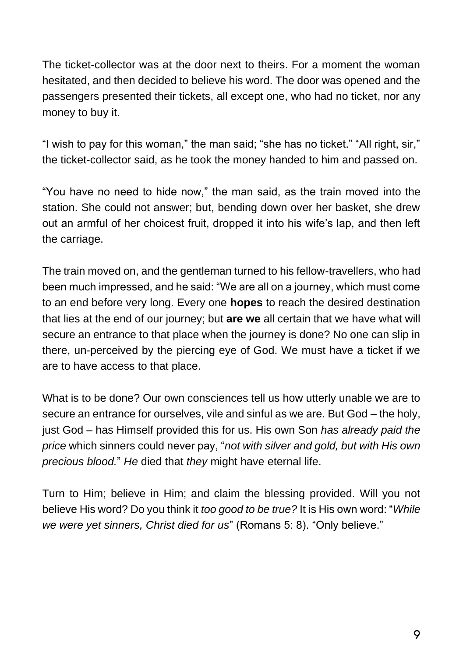The ticket-collector was at the door next to theirs. For a moment the woman hesitated, and then decided to believe his word. The door was opened and the passengers presented their tickets, all except one, who had no ticket, nor any money to buy it.

"I wish to pay for this woman," the man said; "she has no ticket." "All right, sir," the ticket-collector said, as he took the money handed to him and passed on.

"You have no need to hide now," the man said, as the train moved into the station. She could not answer; but, bending down over her basket, she drew out an armful of her choicest fruit, dropped it into his wife's lap, and then left the carriage.

The train moved on, and the gentleman turned to his fellow-travellers, who had been much impressed, and he said: "We are all on a journey, which must come to an end before very long. Every one **hopes** to reach the desired destination that lies at the end of our journey; but **are we** all certain that we have what will secure an entrance to that place when the journey is done? No one can slip in there, un-perceived by the piercing eye of God. We must have a ticket if we are to have access to that place.

What is to be done? Our own consciences tell us how utterly unable we are to secure an entrance for ourselves, vile and sinful as we are. But God – the holy, just God – has Himself provided this for us. His own Son *has already paid the price* which sinners could never pay, "*not with silver and gold, but with His own precious blood.*" *He* died that *they* might have eternal life.

Turn to Him; believe in Him; and claim the blessing provided. Will you not believe His word? Do you think it *too good to be true?* It is His own word: "*While we were yet sinners, Christ died for us*" (Romans 5: 8). "Only believe."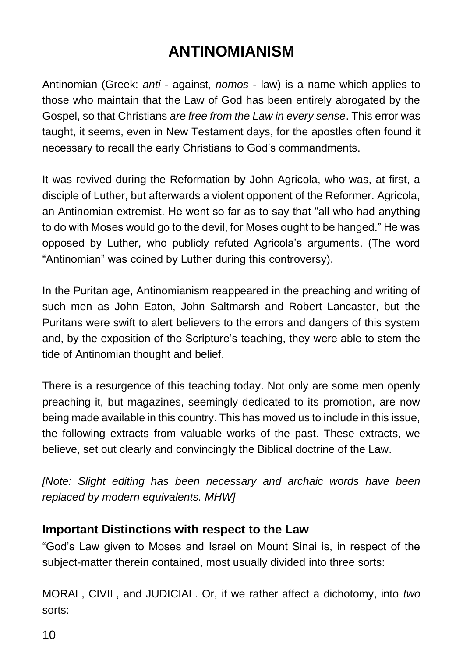## **ANTINOMIANISM**

Antinomian (Greek: *anti* - against, *nomos* - law) is a name which applies to those who maintain that the Law of God has been entirely abrogated by the Gospel, so that Christians *are free from the Law in every sense*. This error was taught, it seems, even in New Testament days, for the apostles often found it necessary to recall the early Christians to God's commandments.

It was revived during the Reformation by John Agricola, who was, at first, a disciple of Luther, but afterwards a violent opponent of the Reformer. Agricola, an Antinomian extremist. He went so far as to say that "all who had anything to do with Moses would go to the devil, for Moses ought to be hanged." He was opposed by Luther, who publicly refuted Agricola's arguments. (The word "Antinomian" was coined by Luther during this controversy).

In the Puritan age, Antinomianism reappeared in the preaching and writing of such men as John Eaton, John Saltmarsh and Robert Lancaster, but the Puritans were swift to alert believers to the errors and dangers of this system and, by the exposition of the Scripture's teaching, they were able to stem the tide of Antinomian thought and belief.

There is a resurgence of this teaching today. Not only are some men openly preaching it, but magazines, seemingly dedicated to its promotion, are now being made available in this country. This has moved us to include in this issue, the following extracts from valuable works of the past. These extracts, we believe, set out clearly and convincingly the Biblical doctrine of the Law.

*[Note: Slight editing has been necessary and archaic words have been replaced by modern equivalents. MHW]*

#### **Important Distinctions with respect to the Law**

"God's Law given to Moses and Israel on Mount Sinai is, in respect of the subject-matter therein contained, most usually divided into three sorts:

MORAL, CIVIL, and JUDICIAL. Or, if we rather affect a dichotomy, into *two* sorts: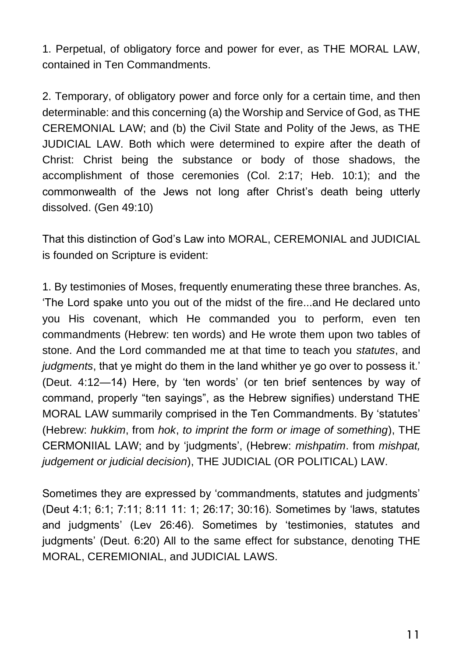1. Perpetual, of obligatory force and power for ever, as THE MORAL LAW, contained in Ten Commandments.

2. Temporary, of obligatory power and force only for a certain time, and then determinable: and this concerning (a) the Worship and Service of God, as THE CEREMONIAL LAW; and (b) the Civil State and Polity of the Jews, as THE JUDICIAL LAW. Both which were determined to expire after the death of Christ: Christ being the substance or body of those shadows, the accomplishment of those ceremonies (Col. 2:17; Heb. 10:1); and the commonwealth of the Jews not long after Christ's death being utterly dissolved. (Gen 49:10)

That this distinction of God's Law into MORAL, CEREMONIAL and JUDICIAL is founded on Scripture is evident:

1. By testimonies of Moses, frequently enumerating these three branches. As, 'The Lord spake unto you out of the midst of the fire...and He declared unto you His covenant, which He commanded you to perform, even ten commandments (Hebrew: ten words) and He wrote them upon two tables of stone. And the Lord commanded me at that time to teach you *statutes*, and *judgments*, that ye might do them in the land whither ye go over to possess it.' (Deut. 4:12—14) Here, by 'ten words' (or ten brief sentences by way of command, properly "ten sayings", as the Hebrew signifies) understand THE MORAL LAW summarily comprised in the Ten Commandments. By 'statutes' (Hebrew: *hukkim*, from *hok*, *to imprint the form or image of something*), THE CERMONIIAL LAW; and by 'judgments', (Hebrew: *mishpatim*. from *mishpat, judgement or judicial decision*), THE JUDICIAL (OR POLITICAL) LAW.

Sometimes they are expressed by 'commandments, statutes and judgments' (Deut 4:1; 6:1; 7:11; 8:11 11: 1; 26:17; 30:16). Sometimes by 'laws, statutes and judgments' (Lev 26:46). Sometimes by 'testimonies, statutes and judgments' (Deut. 6:20) All to the same effect for substance, denoting THE MORAL, CEREMIONIAL, and JUDICIAL LAWS.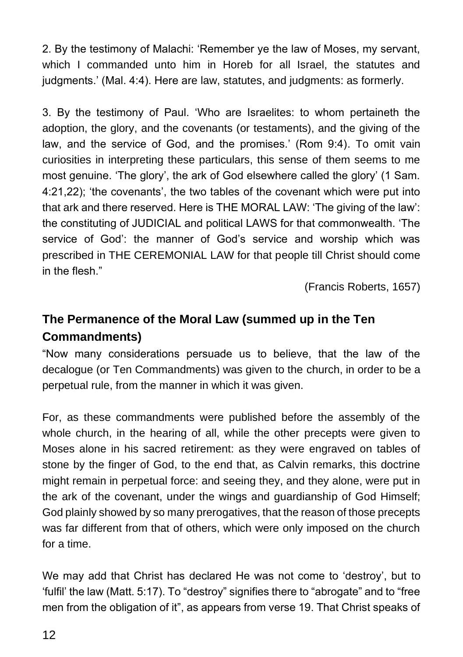2. By the testimony of Malachi: 'Remember ye the law of Moses, my servant, which I commanded unto him in Horeb for all Israel, the statutes and judgments.' (Mal. 4:4). Here are law, statutes, and judgments: as formerly.

3. By the testimony of Paul. 'Who are Israelites: to whom pertaineth the adoption, the glory, and the covenants (or testaments), and the giving of the law, and the service of God, and the promises.' (Rom 9:4). To omit vain curiosities in interpreting these particulars, this sense of them seems to me most genuine. 'The glory', the ark of God elsewhere called the glory' (1 Sam. 4:21,22); 'the covenants', the two tables of the covenant which were put into that ark and there reserved. Here is THE MORAL LAW: 'The giving of the law': the constituting of JUDICIAL and political LAWS for that commonwealth. 'The service of God': the manner of God's service and worship which was prescribed in THE CEREMONIAL LAW for that people till Christ should come in the flesh."

(Francis Roberts, 1657)

### **The Permanence of the Moral Law (summed up in the Ten Commandments)**

"Now many considerations persuade us to believe, that the law of the decalogue (or Ten Commandments) was given to the church, in order to be a perpetual rule, from the manner in which it was given.

For, as these commandments were published before the assembly of the whole church, in the hearing of all, while the other precepts were given to Moses alone in his sacred retirement: as they were engraved on tables of stone by the finger of God, to the end that, as Calvin remarks, this doctrine might remain in perpetual force: and seeing they, and they alone, were put in the ark of the covenant, under the wings and guardianship of God Himself; God plainly showed by so many prerogatives, that the reason of those precepts was far different from that of others, which were only imposed on the church for a time.

We may add that Christ has declared He was not come to 'destroy', but to 'fulfil' the law (Matt. 5:17). To "destroy" signifies there to "abrogate" and to "free men from the obligation of it", as appears from verse 19. That Christ speaks of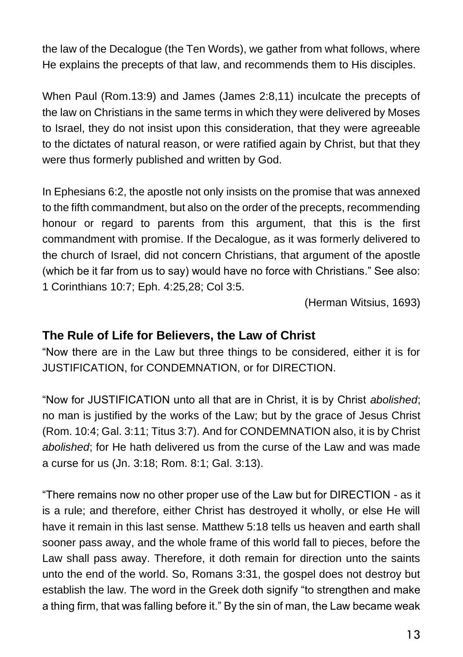the law of the Decalogue (the Ten Words), we gather from what follows, where He explains the precepts of that law, and recommends them to His disciples.

When Paul (Rom.13:9) and James (James 2:8,11) inculcate the precepts of the law on Christians in the same terms in which they were delivered by Moses to Israel, they do not insist upon this consideration, that they were agreeable to the dictates of natural reason, or were ratified again by Christ, but that they were thus formerly published and written by God.

In Ephesians 6:2, the apostle not only insists on the promise that was annexed to the fifth commandment, but also on the order of the precepts, recommending honour or regard to parents from this argument, that this is the first commandment with promise. If the Decalogue, as it was formerly delivered to the church of Israel, did not concern Christians, that argument of the apostle (which be it far from us to say) would have no force with Christians." See also: 1 Corinthians 10:7; Eph. 4:25,28; Col 3:5.

(Herman Witsius, 1693)

#### **The Rule of Life for Believers, the Law of Christ**

"Now there are in the Law but three things to be considered, either it is for JUSTIFICATION, for CONDEMNATION, or for DIRECTION.

"Now for JUSTIFICATION unto all that are in Christ, it is by Christ *abolished*; no man is justified by the works of the Law; but by the grace of Jesus Christ (Rom. 10:4; Gal. 3:11; Titus 3:7). And for CONDEMNATION also, it is by Christ *abolished*; for He hath delivered us from the curse of the Law and was made a curse for us (Jn. 3:18; Rom. 8:1; Gal. 3:13).

"There remains now no other proper use of the Law but for DIRECTION - as it is a rule; and therefore, either Christ has destroyed it wholly, or else He will have it remain in this last sense. Matthew 5:18 tells us heaven and earth shall sooner pass away, and the whole frame of this world fall to pieces, before the Law shall pass away. Therefore, it doth remain for direction unto the saints unto the end of the world. So, Romans 3:31, the gospel does not destroy but establish the law. The word in the Greek doth signify "to strengthen and make a thing firm, that was falling before it." By the sin of man, the Law became weak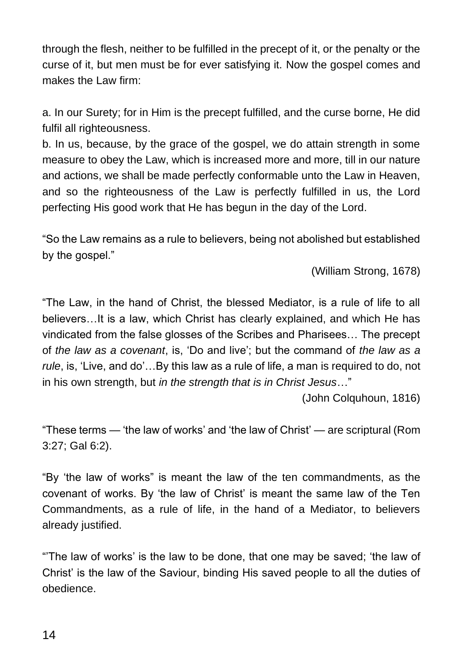through the flesh, neither to be fulfilled in the precept of it, or the penalty or the curse of it, but men must be for ever satisfying it. Now the gospel comes and makes the Law firm:

a. In our Surety; for in Him is the precept fulfilled, and the curse borne, He did fulfil all righteousness.

b. In us, because, by the grace of the gospel, we do attain strength in some measure to obey the Law, which is increased more and more, till in our nature and actions, we shall be made perfectly conformable unto the Law in Heaven, and so the righteousness of the Law is perfectly fulfilled in us, the Lord perfecting His good work that He has begun in the day of the Lord.

"So the Law remains as a rule to believers, being not abolished but established by the gospel."

(William Strong, 1678)

"The Law, in the hand of Christ, the blessed Mediator, is a rule of life to all believers…It is a law, which Christ has clearly explained, and which He has vindicated from the false glosses of the Scribes and Pharisees… The precept of *the law as a covenant*, is, 'Do and live'; but the command of *the law as a rule*, is, 'Live, and do'…By this law as a rule of life, a man is required to do, not in his own strength, but *in the strength that is in Christ Jesus*…"

(John Colquhoun, 1816)

"These terms — 'the law of works' and 'the law of Christ' — are scriptural (Rom 3:27; Gal 6:2).

"By 'the law of works" is meant the law of the ten commandments, as the covenant of works. By 'the law of Christ' is meant the same law of the Ten Commandments, as a rule of life, in the hand of a Mediator, to believers already justified.

"'The law of works' is the law to be done, that one may be saved; 'the law of Christ' is the law of the Saviour, binding His saved people to all the duties of obedience.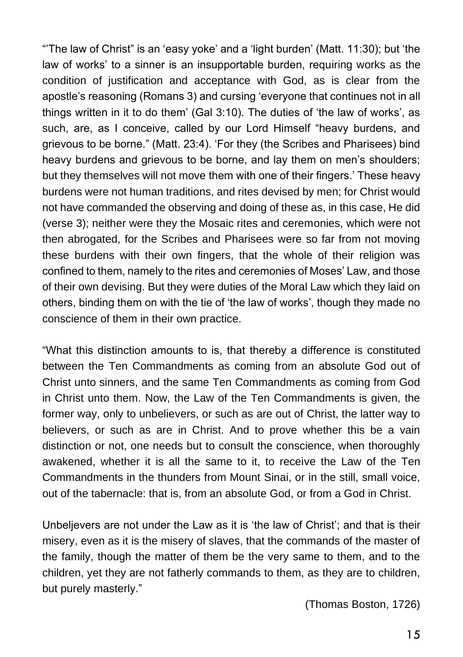"'The law of Christ" is an 'easy yoke' and a 'light burden' (Matt. 11:30); but 'the law of works' to a sinner is an insupportable burden, requiring works as the condition of justification and acceptance with God, as is clear from the apostle's reasoning (Romans 3) and cursing 'everyone that continues not in all things written in it to do them' (Gal 3:10). The duties of 'the law of works', as such, are, as I conceive, called by our Lord Himself "heavy burdens, and grievous to be borne." (Matt. 23:4). 'For they (the Scribes and Pharisees) bind heavy burdens and grievous to be borne, and lay them on men's shoulders; but they themselves will not move them with one of their fingers.' These heavy burdens were not human traditions, and rites devised by men; for Christ would not have commanded the observing and doing of these as, in this case, He did (verse 3); neither were they the Mosaic rites and ceremonies, which were not then abrogated, for the Scribes and Pharisees were so far from not moving these burdens with their own fingers, that the whole of their religion was confined to them, namely to the rites and ceremonies of Moses' Law, and those of their own devising. But they were duties of the Moral Law which they laid on others, binding them on with the tie of 'the law of works', though they made no conscience of them in their own practice.

"What this distinction amounts to is, that thereby a difference is constituted between the Ten Commandments as coming from an absolute God out of Christ unto sinners, and the same Ten Commandments as coming from God in Christ unto them. Now, the Law of the Ten Commandments is given, the former way, only to unbelievers, or such as are out of Christ, the latter way to believers, or such as are in Christ. And to prove whether this be a vain distinction or not, one needs but to consult the conscience, when thoroughly awakened, whether it is all the same to it, to receive the Law of the Ten Commandments in the thunders from Mount Sinai, or in the still, small voice, out of the tabernacle: that is, from an absolute God, or from a God in Christ.

Unbeljevers are not under the Law as it is 'the law of Christ'; and that is their misery, even as it is the misery of slaves, that the commands of the master of the family, though the matter of them be the very same to them, and to the children, yet they are not fatherly commands to them, as they are to children, but purely masterly."

(Thomas Boston, 1726)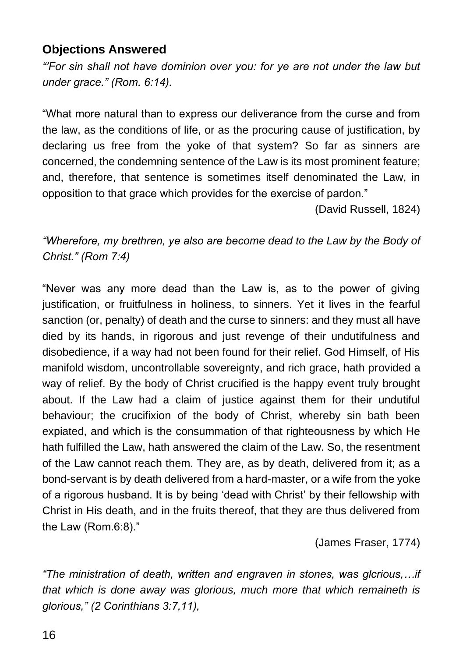#### **Objections Answered**

*"'For sin shall not have dominion over you: for ye are not under the law but under grace." (Rom. 6:14).* 

"What more natural than to express our deliverance from the curse and from the law, as the conditions of life, or as the procuring cause of justification, by declaring us free from the yoke of that system? So far as sinners are concerned, the condemning sentence of the Law is its most prominent feature; and, therefore, that sentence is sometimes itself denominated the Law, in opposition to that grace which provides for the exercise of pardon."

(David Russell, 1824)

*"Wherefore, my brethren, ye also are become dead to the Law by the Body of Christ." (Rom 7:4)* 

"Never was any more dead than the Law is, as to the power of giving justification, or fruitfulness in holiness, to sinners. Yet it lives in the fearful sanction (or, penalty) of death and the curse to sinners: and they must all have died by its hands, in rigorous and just revenge of their undutifulness and disobedience, if a way had not been found for their relief. God Himself, of His manifold wisdom, uncontrollable sovereignty, and rich grace, hath provided a way of relief. By the body of Christ crucified is the happy event truly brought about. If the Law had a claim of justice against them for their undutiful behaviour; the crucifixion of the body of Christ, whereby sin bath been expiated, and which is the consummation of that righteousness by which He hath fulfilled the Law, hath answered the claim of the Law. So, the resentment of the Law cannot reach them. They are, as by death, delivered from it; as a bond-servant is by death delivered from a hard-master, or a wife from the yoke of a rigorous husband. It is by being 'dead with Christ' by their fellowship with Christ in His death, and in the fruits thereof, that they are thus delivered from the Law (Rom.6:8)."

(James Fraser, 1774)

*"The ministration of death, written and engraven in stones, was glcrious,…if that which is done away was glorious, much more that which remaineth is glorious," (2 Corinthians 3:7,11),*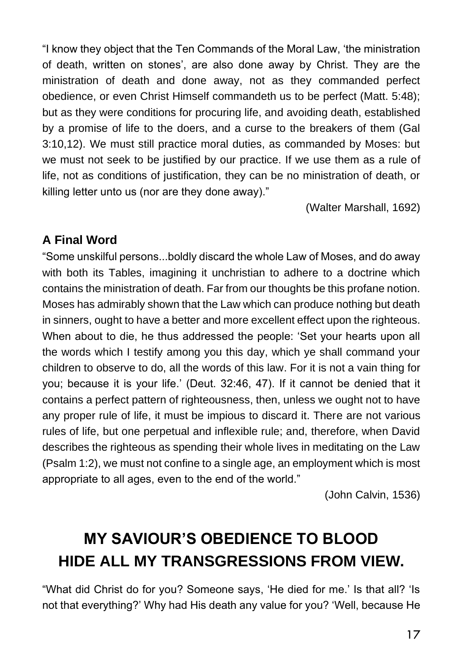"I know they object that the Ten Commands of the Moral Law, 'the ministration of death, written on stones', are also done away by Christ. They are the ministration of death and done away, not as they commanded perfect obedience, or even Christ Himself commandeth us to be perfect (Matt. 5:48); but as they were conditions for procuring life, and avoiding death, established by a promise of life to the doers, and a curse to the breakers of them (Gal 3:10,12). We must still practice moral duties, as commanded by Moses: but we must not seek to be justified by our practice. If we use them as a rule of life, not as conditions of justification, they can be no ministration of death, or killing letter unto us (nor are they done away)."

(Walter Marshall, 1692)

### **A Final Word**

"Some unskilful persons...boldly discard the whole Law of Moses, and do away with both its Tables, imagining it unchristian to adhere to a doctrine which contains the ministration of death. Far from our thoughts be this profane notion. Moses has admirably shown that the Law which can produce nothing but death in sinners, ought to have a better and more excellent effect upon the righteous. When about to die, he thus addressed the people: 'Set your hearts upon all the words which I testify among you this day, which ye shall command your children to observe to do, all the words of this law. For it is not a vain thing for you; because it is your life.' (Deut. 32:46, 47). If it cannot be denied that it contains a perfect pattern of righteousness, then, unless we ought not to have any proper rule of life, it must be impious to discard it. There are not various rules of life, but one perpetual and inflexible rule; and, therefore, when David describes the righteous as spending their whole lives in meditating on the Law (Psalm 1:2), we must not confine to a single age, an employment which is most appropriate to all ages, even to the end of the world."

(John Calvin, 1536)

# **MY SAVIOUR'S OBEDIENCE TO BLOOD HIDE ALL MY TRANSGRESSIONS FROM VIEW.**

"What did Christ do for you? Someone says, 'He died for me.' Is that all? 'Is not that everything?' Why had His death any value for you? 'Well, because He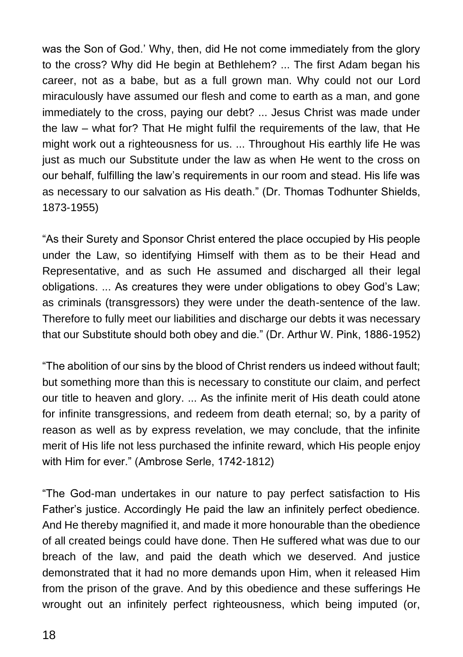was the Son of God.' Why, then, did He not come immediately from the glory to the cross? Why did He begin at Bethlehem? ... The first Adam began his career, not as a babe, but as a full grown man. Why could not our Lord miraculously have assumed our flesh and come to earth as a man, and gone immediately to the cross, paying our debt? ... Jesus Christ was made under the law – what for? That He might fulfil the requirements of the law, that He might work out a righteousness for us. ... Throughout His earthly life He was just as much our Substitute under the law as when He went to the cross on our behalf, fulfilling the law's requirements in our room and stead. His life was as necessary to our salvation as His death." (Dr. Thomas Todhunter Shields, 1873-1955)

"As their Surety and Sponsor Christ entered the place occupied by His people under the Law, so identifying Himself with them as to be their Head and Representative, and as such He assumed and discharged all their legal obligations. ... As creatures they were under obligations to obey God's Law; as criminals (transgressors) they were under the death-sentence of the law. Therefore to fully meet our liabilities and discharge our debts it was necessary that our Substitute should both obey and die." (Dr. Arthur W. Pink, 1886-1952)

"The abolition of our sins by the blood of Christ renders us indeed without fault; but something more than this is necessary to constitute our claim, and perfect our title to heaven and glory. ... As the infinite merit of His death could atone for infinite transgressions, and redeem from death eternal; so, by a parity of reason as well as by express revelation, we may conclude, that the infinite merit of His life not less purchased the infinite reward, which His people enjoy with Him for ever." (Ambrose Serle, 1742-1812)

"The God-man undertakes in our nature to pay perfect satisfaction to His Father's justice. Accordingly He paid the law an infinitely perfect obedience. And He thereby magnified it, and made it more honourable than the obedience of all created beings could have done. Then He suffered what was due to our breach of the law, and paid the death which we deserved. And justice demonstrated that it had no more demands upon Him, when it released Him from the prison of the grave. And by this obedience and these sufferings He wrought out an infinitely perfect righteousness, which being imputed (or,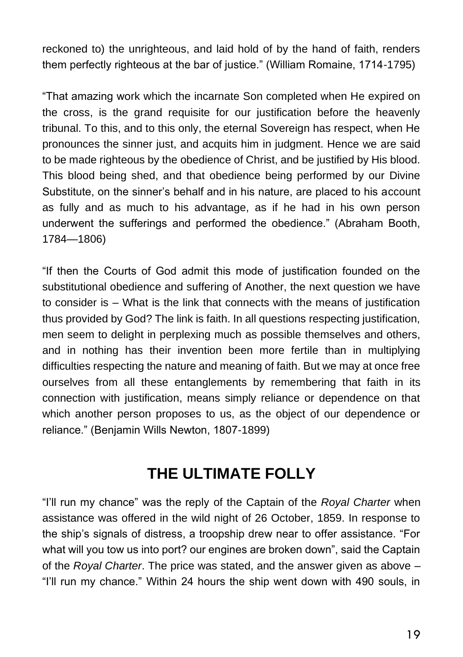reckoned to) the unrighteous, and laid hold of by the hand of faith, renders them perfectly righteous at the bar of justice." (William Romaine, 1714-1795)

"That amazing work which the incarnate Son completed when He expired on the cross, is the grand requisite for our justification before the heavenly tribunal. To this, and to this only, the eternal Sovereign has respect, when He pronounces the sinner just, and acquits him in judgment. Hence we are said to be made righteous by the obedience of Christ, and be justified by His blood. This blood being shed, and that obedience being performed by our Divine Substitute, on the sinner's behalf and in his nature, are placed to his account as fully and as much to his advantage, as if he had in his own person underwent the sufferings and performed the obedience." (Abraham Booth, 1784—1806)

"If then the Courts of God admit this mode of justification founded on the substitutional obedience and suffering of Another, the next question we have to consider is – What is the link that connects with the means of justification thus provided by God? The link is faith. In all questions respecting justification, men seem to delight in perplexing much as possible themselves and others, and in nothing has their invention been more fertile than in multiplying difficulties respecting the nature and meaning of faith. But we may at once free ourselves from all these entanglements by remembering that faith in its connection with justification, means simply reliance or dependence on that which another person proposes to us, as the object of our dependence or reliance." (Benjamin Wills Newton, 1807-1899)

## **THE ULTIMATE FOLLY**

"I'll run my chance" was the reply of the Captain of the *Royal Charter* when assistance was offered in the wild night of 26 October, 1859. In response to the ship's signals of distress, a troopship drew near to offer assistance. "For what will you tow us into port? our engines are broken down", said the Captain of the *Royal Charter*. The price was stated, and the answer given as above – "I'll run my chance." Within 24 hours the ship went down with 490 souls, in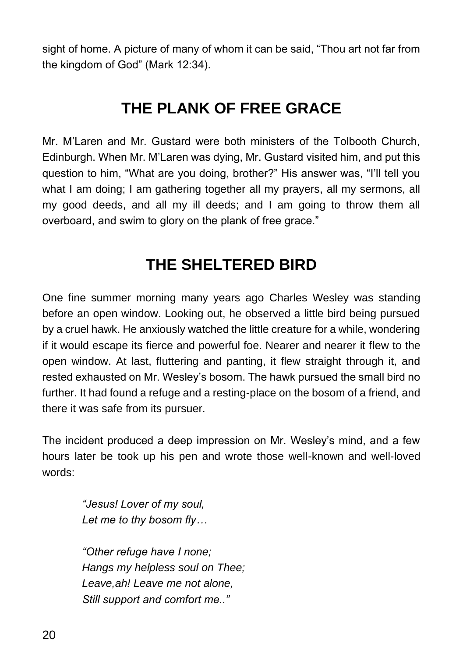sight of home. A picture of many of whom it can be said, "Thou art not far from the kingdom of God" (Mark 12:34).

## **THE PLANK OF FREE GRACE**

Mr. M'Laren and Mr. Gustard were both ministers of the Tolbooth Church, Edinburgh. When Mr. M'Laren was dying, Mr. Gustard visited him, and put this question to him, "What are you doing, brother?" His answer was, "I'll tell you what I am doing; I am gathering together all my prayers, all my sermons, all my good deeds, and all my ill deeds; and I am going to throw them all overboard, and swim to glory on the plank of free grace."

### **THE SHELTERED BIRD**

One fine summer morning many years ago Charles Wesley was standing before an open window. Looking out, he observed a little bird being pursued by a cruel hawk. He anxiously watched the little creature for a while, wondering if it would escape its fierce and powerful foe. Nearer and nearer it flew to the open window. At last, fluttering and panting, it flew straight through it, and rested exhausted on Mr. Wesley's bosom. The hawk pursued the small bird no further. It had found a refuge and a resting-place on the bosom of a friend, and there it was safe from its pursuer.

The incident produced a deep impression on Mr. Wesley's mind, and a few hours later be took up his pen and wrote those well-known and well-loved words:

> *"Jesus! Lover of my soul, Let me to thy bosom fly…*

*"Other refuge have I none; Hangs my helpless soul on Thee; Leave,ah! Leave me not alone, Still support and comfort me.."*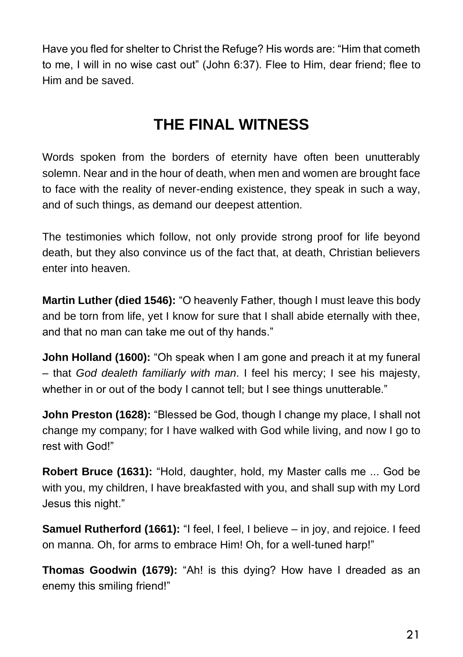Have you fled for shelter to Christ the Refuge? His words are: "Him that cometh to me, I will in no wise cast out" (John 6:37). Flee to Him, dear friend; flee to Him and be saved.

## **THE FINAL WITNESS**

Words spoken from the borders of eternity have often been unutterably solemn. Near and in the hour of death, when men and women are brought face to face with the reality of never-ending existence, they speak in such a way, and of such things, as demand our deepest attention.

The testimonies which follow, not only provide strong proof for life beyond death, but they also convince us of the fact that, at death, Christian believers enter into heaven.

**Martin Luther (died 1546):** "O heavenly Father, though I must leave this body and be torn from life, yet I know for sure that I shall abide eternally with thee, and that no man can take me out of thy hands."

**John Holland (1600):** "Oh speak when I am gone and preach it at my funeral – that *God dealeth familiarly with man*. I feel his mercy; I see his majesty, whether in or out of the body I cannot tell; but I see things unutterable."

**John Preston (1628):** "Blessed be God, though I change my place, I shall not change my company; for I have walked with God while living, and now I go to rest with God!"

**Robert Bruce (1631):** "Hold, daughter, hold, my Master calls me ... God be with you, my children, I have breakfasted with you, and shall sup with my Lord Jesus this night."

**Samuel Rutherford (1661):** "I feel, I feel, I believe – in joy, and rejoice. I feed on manna. Oh, for arms to embrace Him! Oh, for a well-tuned harp!"

**Thomas Goodwin (1679):** "Ah! is this dying? How have I dreaded as an enemy this smiling friend!"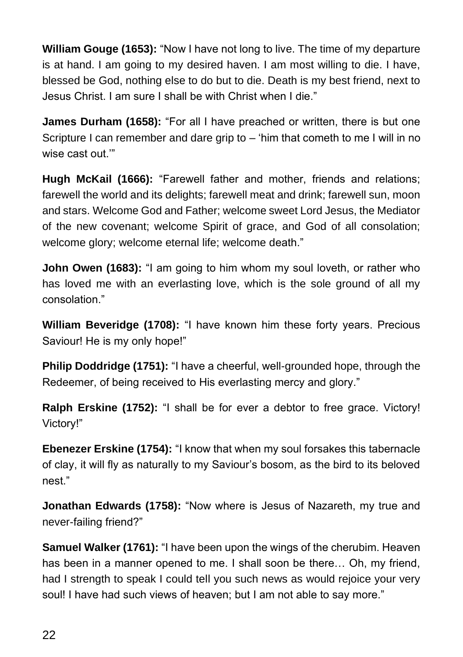**William Gouge (1653):** "Now I have not long to live. The time of my departure is at hand. I am going to my desired haven. I am most willing to die. I have, blessed be God, nothing else to do but to die. Death is my best friend, next to Jesus Christ. I am sure I shall be with Christ when I die."

**James Durham (1658):** "For all I have preached or written, there is but one Scripture I can remember and dare grip to – 'him that cometh to me I will in no wise cast out."

**Hugh McKail (1666):** "Farewell father and mother, friends and relations; farewell the world and its delights; farewell meat and drink; farewell sun, moon and stars. Welcome God and Father; welcome sweet Lord Jesus, the Mediator of the new covenant; welcome Spirit of grace, and God of all consolation; welcome glory; welcome eternal life; welcome death."

**John Owen (1683):** "I am going to him whom my soul loveth, or rather who has loved me with an everlasting love, which is the sole ground of all my consolation."

**William Beveridge (1708):** "I have known him these forty years. Precious Saviour! He is my only hope!"

**Philip Doddridge (1751):** "I have a cheerful, well-grounded hope, through the Redeemer, of being received to His everlasting mercy and glory."

**Ralph Erskine (1752):** "I shall be for ever a debtor to free grace. Victory! Victory!"

**Ebenezer Erskine (1754):** "I know that when my soul forsakes this tabernacle of clay, it will fly as naturally to my Saviour's bosom, as the bird to its beloved nest."

**Jonathan Edwards (1758):** "Now where is Jesus of Nazareth, my true and never-failing friend?"

**Samuel Walker (1761):** "I have been upon the wings of the cherubim. Heaven has been in a manner opened to me. I shall soon be there… Oh, my friend, had I strength to speak I could tell you such news as would rejoice your very soul! I have had such views of heaven; but I am not able to say more."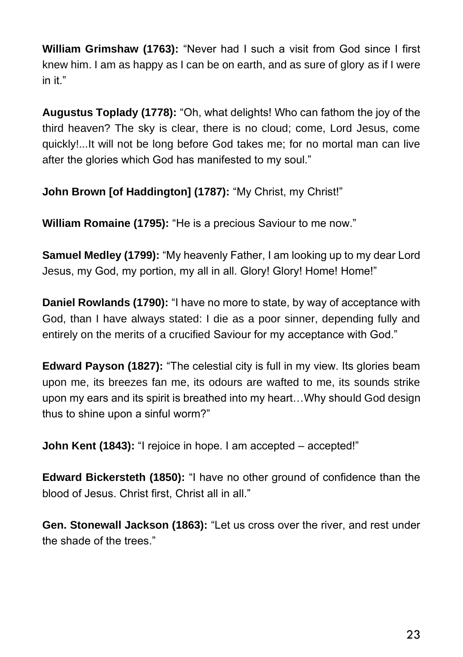**William Grimshaw (1763):** "Never had I such a visit from God since I first knew him. I am as happy as I can be on earth, and as sure of glory as if I were in it."

**Augustus Toplady (1778):** "Oh, what delights! Who can fathom the joy of the third heaven? The sky is clear, there is no cloud; come, Lord Jesus, come quickly!...It will not be long before God takes me; for no mortal man can live after the glories which God has manifested to my soul."

**John Brown [of Haddington] (1787):** "My Christ, my Christ!"

**William Romaine (1795):** "He is a precious Saviour to me now."

**Samuel Medley (1799):** "My heavenly Father, I am looking up to my dear Lord Jesus, my God, my portion, my all in all. Glory! Glory! Home! Home!"

**Daniel Rowlands (1790):** "I have no more to state, by way of acceptance with God, than I have always stated: I die as a poor sinner, depending fully and entirely on the merits of a crucified Saviour for my acceptance with God."

**Edward Payson (1827):** "The celestial city is full in my view. Its glories beam upon me, its breezes fan me, its odours are wafted to me, its sounds strike upon my ears and its spirit is breathed into my heart…Why should God design thus to shine upon a sinful worm?"

**John Kent (1843):** "I rejoice in hope. I am accepted – accepted!"

**Edward Bickersteth (1850):** "I have no other ground of confidence than the blood of Jesus. Christ first, Christ all in all."

**Gen. Stonewall Jackson (1863):** "Let us cross over the river, and rest under the shade of the trees."